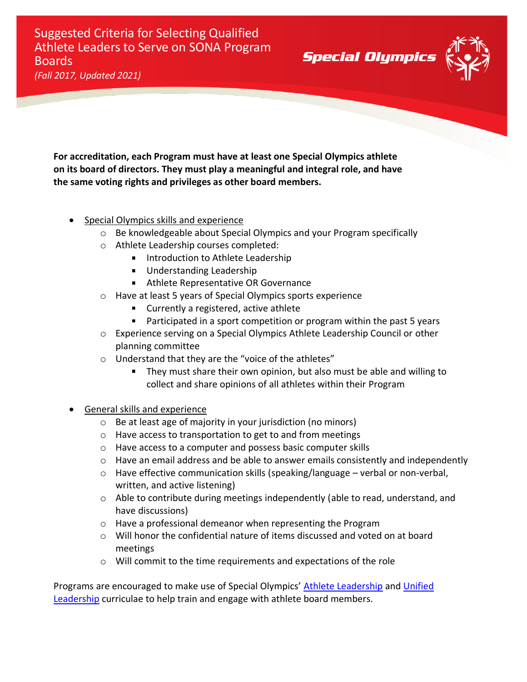Suggested Criteria for Selecting Qualified Athlete Leaders to Serve on SONA Program Boards *(Fall 2017, Updated 2021)*

**For accreditation, each Program must have at least one Special Olympics athlete on its board of directors. They must play a meaningful and integral role, and have the same voting rights and privileges as other board members.**

- Special Olympics skills and experience
	- o Be knowledgeable about Special Olympics and your Program specifically
	- o Athlete Leadership courses completed:
		- **Introduction to Athlete Leadership**
		- **Understanding Leadership**
		- **Athlete Representative OR Governance**
	- o Have at least 5 years of Special Olympics sports experience
		- **Currently a registered, active athlete**
		- Participated in a sport competition or program within the past 5 years

**Special Olympics** 

- o Experience serving on a Special Olympics Athlete Leadership Council or other planning committee
- o Understand that they are the "voice of the athletes"
	- They must share their own opinion, but also must be able and willing to collect and share opinions of all athletes within their Program
- General skills and experience
	- o Be at least age of majority in your jurisdiction (no minors)
	- o Have access to transportation to get to and from meetings
	- o Have access to a computer and possess basic computer skills
	- $\circ$  Have an email address and be able to answer emails consistently and independently
	- $\circ$  Have effective communication skills (speaking/language verbal or non-verbal, written, and active listening)
	- $\circ$  Able to contribute during meetings independently (able to read, understand, and have discussions)
	- o Have a professional demeanor when representing the Program
	- $\circ$  Will honor the confidential nature of items discussed and voted on at board meetings
	- o Will commit to the time requirements and expectations of the role

Programs are encouraged to make use of Special Olympics' [Athlete Leadership](https://resources.specialolympics.org/leadership-excellence/athlete-leadership?locale=en) and Unified [Leadership](https://resources.specialolympics.org/leadership-excellence/unified-leadership?locale=en) curriculae to help train and engage with athlete board members.